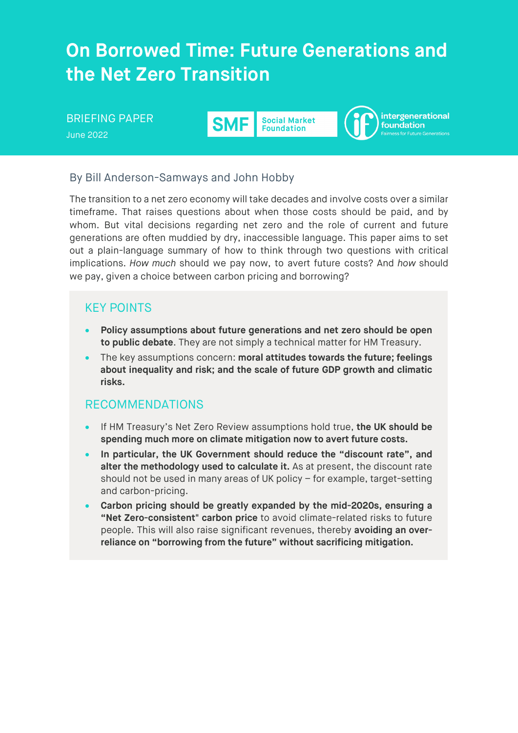# **On Borrowed Time: Future Generations and the Net Zero Transition**

#### intergenerational BRIEFING PAPER **SMF Social Market** foundation **Foundation** June 2022

# By Bill Anderson-Samways and John Hobby

The transition to a net zero economy will take decades and involve costs over a similar timeframe. That raises questions about when those costs should be paid, and by whom. But vital decisions regarding net zero and the role of current and future generations are often muddied by dry, inaccessible language. This paper aims to set out a plain-language summary of how to think through two questions with critical implications. *How much* should we pay now, to avert future costs? And *how* should we pay, given a choice between carbon pricing and borrowing?

# KEY POINTS

- **Policy assumptions about future generations and net zero should be open to public debate**. They are not simply a technical matter for HM Treasury.
- The key assumptions concern: **moral attitudes towards the future; feelings about inequality and risk; and the scale of future GDP growth and climatic risks.**

# RECOMMENDATIONS

- If HM Treasury's Net Zero Review assumptions hold true, **the UK should be spending much more on climate mitigation now to avert future costs.**
- **In particular, the UK Government should reduce the "discount rate", and alter the methodology used to calculate it.** As at present, the discount rate should not be used in many areas of UK policy – for example, target-setting and carbon-pricing.
- **Carbon pricing should be greatly expanded by the mid-2020s, ensuring a "Net Zero-consistent" carbon price** to avoid climate-related risks to future people. This will also raise significant revenues, thereby **avoiding an overreliance on "borrowing from the future" without sacrificing mitigation.**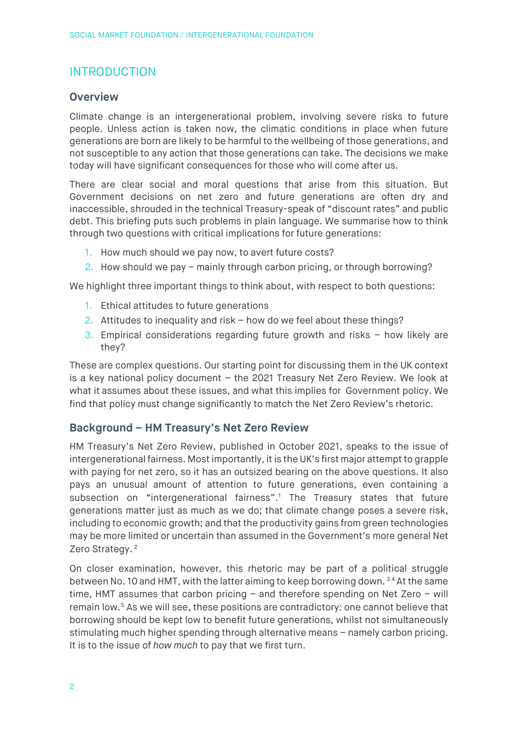# INTRODUCTION

# **Overview**

Climate change is an intergenerational problem, involving severe risks to future people. Unless action is taken now, the climatic conditions in place when future generations are born are likely to be harmful to the wellbeing of those generations, and not susceptible to any action that those generations can take. The decisions we make today will have significant consequences for those who will come after us.

There are clear social and moral questions that arise from this situation. But Government decisions on net zero and future generations are often dry and inaccessible, shrouded in the technical Treasury-speak of "discount rates" and public debt. This briefing puts such problems in plain language. We summarise how to think through two questions with critical implications for future generations:

- 1. How much should we pay now, to avert future costs?
- 2. How should we pay mainly through carbon pricing, or through borrowing?

We highlight three important things to think about, with respect to both questions:

- 1. Ethical attitudes to future generations
- 2. Attitudes to inequality and risk how do we feel about these things?
- 3. Empirical considerations regarding future growth and risks how likely are they?

These are complex questions. Our starting point for discussing them in the UK context is a key national policy document – the 2021 Treasury Net Zero Review. We look at what it assumes about these issues, and what this implies for Government policy. We find that policy must change significantly to match the Net Zero Review's rhetoric.

# **Background – HM Treasury's Net Zero Review**

HM Treasury's Net Zero Review, published in October 2021, speaks to the issue of intergenerational fairness. Most importantly, it is the UK's first major attempt to grapple with paying for net zero, so it has an outsized bearing on the above questions. It also pays an unusual amount of attention to future generations, even containing a subsection on "intergenerational fairness". [1](#page-19-0) The Treasury states that future generations matter just as much as we do; that climate change poses a severe risk, including to economic growth; and that the productivity gains from green technologies may be more limited or uncertain than assumed in the Government's more general Net Zero Strategy.<sup>[2](#page-19-1)</sup>

On closer examination, however, this rhetoric may be part of a political struggle between No. 10 and HMT, with the latter aiming to keep borrowing down.<sup>[3](#page-19-2)[4](#page-19-3)</sup> At the same time, HMT assumes that carbon pricing – and therefore spending on Net Zero – will remain low. [5](#page-19-4) As we will see, these positions are contradictory: one cannot believe that borrowing should be kept low to benefit future generations, whilst not simultaneously stimulating much higher spending through alternative means – namely carbon pricing. It is to the issue of *how much* to pay that we first turn.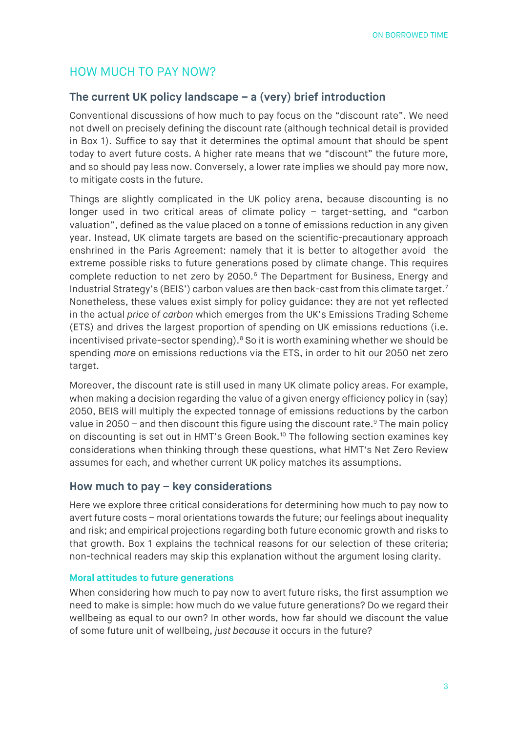# HOW MUCH TO PAY NOW?

### **The current UK policy landscape – a (very) brief introduction**

Conventional discussions of how much to pay focus on the "discount rate". We need not dwell on precisely defining the discount rate (although technical detail is provided in Box 1). Suffice to say that it determines the optimal amount that should be spent today to avert future costs. A higher rate means that we "discount" the future more, and so should pay less now. Conversely, a lower rate implies we should pay more now, to mitigate costs in the future.

Things are slightly complicated in the UK policy arena, because discounting is no longer used in two critical areas of climate policy – target-setting, and "carbon valuation", defined as the value placed on a tonne of emissions reduction in any given year. Instead, UK climate targets are based on the scientific-precautionary approach enshrined in the Paris Agreement: namely that it is better to altogether avoid the extreme possible risks to future generations posed by climate change. This requires complete reduction to net zero by 2050. [6](#page-19-5) The Department for Business, Energy and Industrial Strategy's (BEIS') carbon values are then back-cast from this climate target.[7](#page-19-6) Nonetheless, these values exist simply for policy guidance: they are not yet reflected in the actual *price of carbon* which emerges from the UK's Emissions Trading Scheme (ETS) and drives the largest proportion of spending on UK emissions reductions (i.e. incentivised private-sector spending). [8](#page-19-7) So it is worth examining whether we should be spending *more* on emissions reductions via the ETS, in order to hit our 2050 net zero target.

Moreover, the discount rate is still used in many UK climate policy areas. For example, when making a decision regarding the value of a given energy efficiency policy in (say) 2050, BEIS will multiply the expected tonnage of emissions reductions by the carbon value in 2050 – and then discount this figure using the discount rate.<sup>[9](#page-19-8)</sup> The main policy on discounting is set out in HMT's Green Book.<sup>[10](#page-19-9)</sup> The following section examines key considerations when thinking through these questions, what HMT's Net Zero Review assumes for each, and whether current UK policy matches its assumptions.

# **How much to pay – key considerations**

Here we explore three critical considerations for determining how much to pay now to avert future costs – moral orientations towards the future; our feelings about inequality and risk; and empirical projections regarding both future economic growth and risks to that growth. Box 1 explains the technical reasons for our selection of these criteria; non-technical readers may skip this explanation without the argument losing clarity.

#### **Moral attitudes to future generations**

When considering how much to pay now to avert future risks, the first assumption we need to make is simple: how much do we value future generations? Do we regard their wellbeing as equal to our own? In other words, how far should we discount the value of some future unit of wellbeing, *just because* it occurs in the future?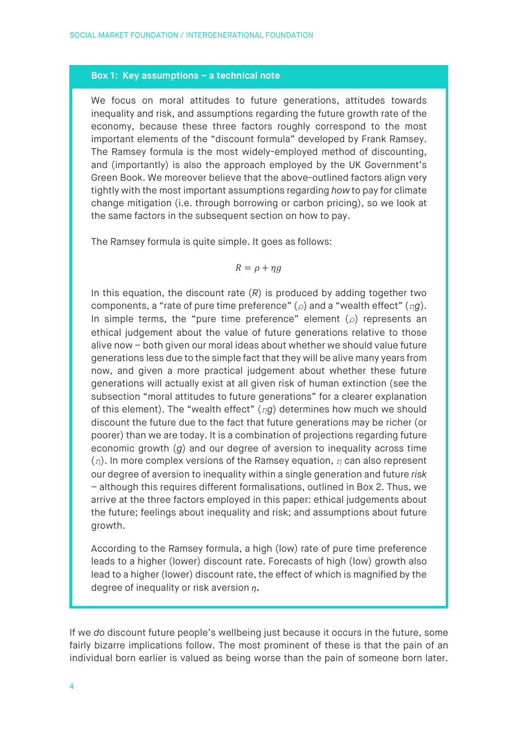### **Box 1: Key assumptions – a technical note**

We focus on moral attitudes to future generations, attitudes towards inequality and risk, and assumptions regarding the future growth rate of the economy, because these three factors roughly correspond to the most important elements of the "discount formula" developed by Frank Ramsey. The Ramsey formula is the most widely-employed method of discounting, and (importantly) is also the approach employed by the UK Government's Green Book. We moreover believe that the above-outlined factors align very tightly with the most important assumptions regarding *how* to pay for climate change mitigation (i.e. through borrowing or carbon pricing), so we look at the same factors in the subsequent section on how to pay.

The Ramsey formula is quite simple. It goes as follows:

$$
R=\rho+\eta g
$$

In this equation, the discount rate (*R*) is produced by adding together two components, a "rate of pure time preference" (*ρ*) and a "wealth effect" (*ηg*). In simple terms, the "pure time preference" element (*ρ*) represents an ethical judgement about the value of future generations relative to those alive now – both given our moral ideas about whether we should value future generations less due to the simple fact that they will be alive many years from now, and given a more practical judgement about whether these future generations will actually exist at all given risk of human extinction (see the subsection "moral attitudes to future generations" for a clearer explanation of this element). The "wealth effect" (*ηg*) determines how much we should discount the future due to the fact that future generations may be richer (or poorer) than we are today. It is a combination of projections regarding future economic growth (*g*) and our degree of aversion to inequality across time (*η*). In more complex versions of the Ramsey equation, *η* can also represent our degree of aversion to inequality within a single generation and future *risk* – although this requires different formalisations, outlined in Box 2. Thus, we arrive at the three factors employed in this paper: ethical judgements about the future; feelings about inequality and risk; and assumptions about future growth.

According to the Ramsey formula, a high (low) rate of pure time preference leads to a higher (lower) discount rate. Forecasts of high (low) growth also lead to a higher (lower) discount rate, the effect of which is magnified by the degree of inequality or risk aversion *n*.

If we *do* discount future people's wellbeing just because it occurs in the future, some fairly bizarre implications follow. The most prominent of these is that the pain of an individual born earlier is valued as being worse than the pain of someone born later.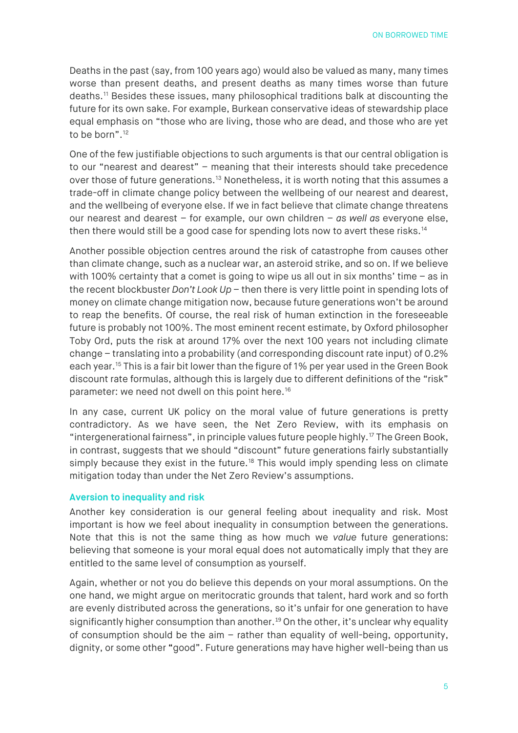Deaths in the past (say, from 100 years ago) would also be valued as many, many times worse than present deaths, and present deaths as many times worse than future deaths.[11](#page-19-10) Besides these issues, many philosophical traditions balk at discounting the future for its own sake. For example, Burkean conservative ideas of stewardship place equal emphasis on "those who are living, those who are dead, and those who are yet to be born".<sup>[12](#page-19-11)</sup>

One of the few justifiable objections to such arguments is that our central obligation is to our "nearest and dearest" – meaning that their interests should take precedence over those of future generations.<sup>[13](#page-19-12)</sup> Nonetheless, it is worth noting that this assumes a trade-off in climate change policy between the wellbeing of our nearest and dearest, and the wellbeing of everyone else. If we in fact believe that climate change threatens our nearest and dearest – for example, our own children – *as well as* everyone else, then there would still be a good case for spending lots now to avert these risks.<sup>[14](#page-19-13)</sup>

Another possible objection centres around the risk of catastrophe from causes other than climate change, such as a nuclear war, an asteroid strike, and so on. If we believe with 100% certainty that a comet is going to wipe us all out in six months' time – as in the recent blockbuster *Don't Look Up* – then there is very little point in spending lots of money on climate change mitigation now, because future generations won't be around to reap the benefits. Of course, the real risk of human extinction in the foreseeable future is probably not 100%. The most eminent recent estimate, by Oxford philosopher Toby Ord, puts the risk at around 17% over the next 100 years not including climate change – translating into a probability (and corresponding discount rate input) of 0.2% each year.[15](#page-19-14) This is a fair bit lower than the figure of 1% per year used in the Green Book discount rate formulas, although this is largely due to different definitions of the "risk" parameter: we need not dwell on this point here.<sup>16</sup>

In any case, current UK policy on the moral value of future generations is pretty contradictory. As we have seen, the Net Zero Review, with its emphasis on "intergenerational fairness", in principle values future people highly.[17](#page-19-16) The Green Book, in contrast, suggests that we should "discount" future generations fairly substantially simply because they exist in the future.<sup>[18](#page-19-17)</sup> This would imply spending less on climate mitigation today than under the Net Zero Review's assumptions.

#### **Aversion to inequality and risk**

Another key consideration is our general feeling about inequality and risk. Most important is how we feel about inequality in consumption between the generations. Note that this is not the same thing as how much we *value* future generations: believing that someone is your moral equal does not automatically imply that they are entitled to the same level of consumption as yourself.

Again, whether or not you do believe this depends on your moral assumptions. On the one hand, we might argue on meritocratic grounds that talent, hard work and so forth are evenly distributed across the generations, so it's unfair for one generation to have significantly higher consumption than another. [19](#page-20-0) On the other, it's unclear why equality of consumption should be the aim – rather than equality of well-being, opportunity, dignity, or some other "good". Future generations may have higher well-being than us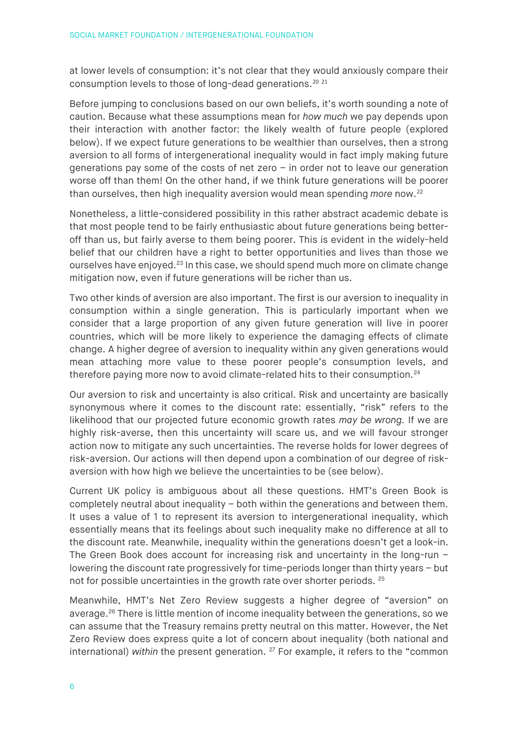at lower levels of consumption: it's not clear that they would anxiously compare their consumption levels to those of long-dead generations.[20](#page-20-1) [21](#page-20-2)

Before jumping to conclusions based on our own beliefs, it's worth sounding a note of caution. Because what these assumptions mean for *how much* we pay depends upon their interaction with another factor: the likely wealth of future people (explored below). If we expect future generations to be wealthier than ourselves, then a strong aversion to all forms of intergenerational inequality would in fact imply making future generations pay some of the costs of net zero – in order not to leave our generation worse off than them! On the other hand, if we think future generations will be poorer than ourselves, then high inequality aversion would mean spending *more* now.[22](#page-20-3)

Nonetheless, a little-considered possibility in this rather abstract academic debate is that most people tend to be fairly enthusiastic about future generations being betteroff than us, but fairly averse to them being poorer. This is evident in the widely-held belief that our children have a right to better opportunities and lives than those we ourselves have enjoyed.<sup>[23](#page-20-4)</sup> In this case, we should spend much more on climate change mitigation now, even if future generations will be richer than us.

Two other kinds of aversion are also important. The first is our aversion to inequality in consumption within a single generation. This is particularly important when we consider that a large proportion of any given future generation will live in poorer countries, which will be more likely to experience the damaging effects of climate change. A higher degree of aversion to inequality within any given generations would mean attaching more value to these poorer people's consumption levels, and therefore paying more now to avoid climate-related hits to their consumption.<sup>[24](#page-20-5)</sup>

Our aversion to risk and uncertainty is also critical. Risk and uncertainty are basically synonymous where it comes to the discount rate: essentially, "risk" refers to the likelihood that our projected future economic growth rates *may be wrong.* If we are highly risk-averse, then this uncertainty will scare us, and we will favour stronger action now to mitigate any such uncertainties. The reverse holds for lower degrees of risk-aversion. Our actions will then depend upon a combination of our degree of riskaversion with how high we believe the uncertainties to be (see below).

Current UK policy is ambiguous about all these questions. HMT's Green Book is completely neutral about inequality – both within the generations and between them. It uses a value of 1 to represent its aversion to intergenerational inequality, which essentially means that its feelings about such inequality make no difference at all to the discount rate. Meanwhile, inequality within the generations doesn't get a look-in. The Green Book does account for increasing risk and uncertainty in the long-run – lowering the discount rate progressively for time-periods longer than thirty years – but not for possible uncertainties in the growth rate over shorter periods. [25](#page-20-6)

Meanwhile, HMT's Net Zero Review suggests a higher degree of "aversion" on average.<sup>[26](#page-20-7)</sup> There is little mention of income inequality between the generations, so we can assume that the Treasury remains pretty neutral on this matter. However, the Net Zero Review does express quite a lot of concern about inequality (both national and international) *within* the present generation. <sup>[27](#page-20-8)</sup> For example, it refers to the "common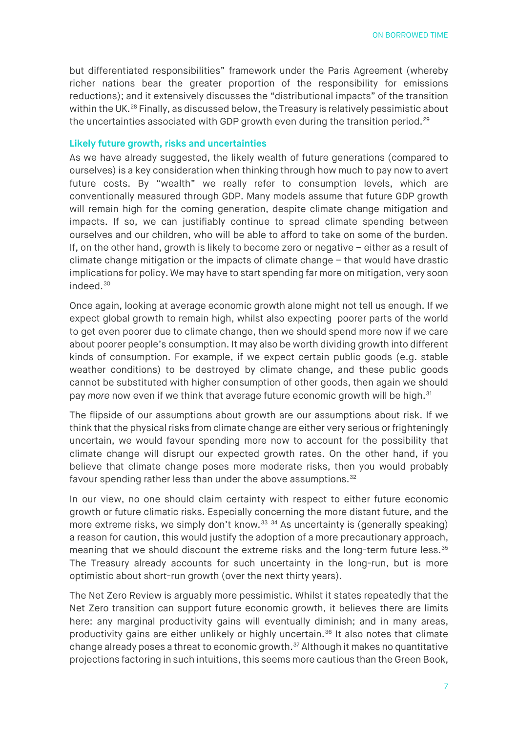but differentiated responsibilities" framework under the Paris Agreement (whereby richer nations bear the greater proportion of the responsibility for emissions reductions); and it extensively discusses the "distributional impacts" of the transition within the UK.<sup>[28](#page-20-9)</sup> Finally, as discussed below, the Treasury is relatively pessimistic about the uncertainties associated with GDP growth even during the transition period.<sup>[29](#page-20-10)</sup>

#### **Likely future growth, risks and uncertainties**

As we have already suggested, the likely wealth of future generations (compared to ourselves) is a key consideration when thinking through how much to pay now to avert future costs. By "wealth" we really refer to consumption levels, which are conventionally measured through GDP. Many models assume that future GDP growth will remain high for the coming generation, despite climate change mitigation and impacts. If so, we can justifiably continue to spread climate spending between ourselves and our children, who will be able to afford to take on some of the burden. If, on the other hand, growth is likely to become zero or negative – either as a result of climate change mitigation or the impacts of climate change – that would have drastic implications for policy. We may have to start spending far more on mitigation, very soon indeed. [30](#page-20-11)

Once again, looking at average economic growth alone might not tell us enough. If we expect global growth to remain high, whilst also expecting poorer parts of the world to get even poorer due to climate change, then we should spend more now if we care about poorer people's consumption. It may also be worth dividing growth into different kinds of consumption. For example, if we expect certain public goods (e.g. stable weather conditions) to be destroyed by climate change, and these public goods cannot be substituted with higher consumption of other goods, then again we should pay *more* now even if we think that average future economic growth will be high.<sup>[31](#page-20-12)</sup>

The flipside of our assumptions about growth are our assumptions about risk. If we think that the physical risks from climate change are either very serious or frighteningly uncertain, we would favour spending more now to account for the possibility that climate change will disrupt our expected growth rates. On the other hand, if you believe that climate change poses more moderate risks, then you would probably favour spending rather less than under the above assumptions.<sup>[32](#page-20-13)</sup>

In our view, no one should claim certainty with respect to either future economic growth or future climatic risks. Especially concerning the more distant future, and the more extreme risks, we simply don't know.<sup>[33](#page-20-14) [34](#page-20-15)</sup> As uncertainty is (generally speaking) a reason for caution, this would justify the adoption of a more precautionary approach, meaning that we should discount the extreme risks and the long-term future less.<sup>[35](#page-20-16)</sup> The Treasury already accounts for such uncertainty in the long-run, but is more optimistic about short-run growth (over the next thirty years).

The Net Zero Review is arguably more pessimistic. Whilst it states repeatedly that the Net Zero transition can support future economic growth, it believes there are limits here: any marginal productivity gains will eventually diminish; and in many areas, productivity gains are either unlikely or highly uncertain.<sup>[36](#page-20-17)</sup> It also notes that climate change already poses a threat to economic growth.<sup>[37](#page-20-18)</sup> Although it makes no quantitative projections factoring in such intuitions, this seems more cautious than the Green Book,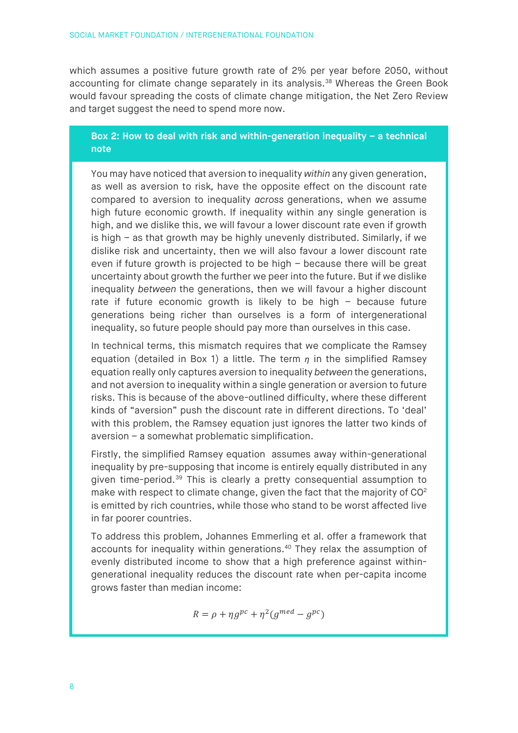which assumes a positive future growth rate of 2% per year before 2050, without accounting for climate change separately in its analysis.<sup>[38](#page-20-19)</sup> Whereas the Green Book would favour spreading the costs of climate change mitigation, the Net Zero Review and target suggest the need to spend more now.

### **Box 2: How to deal with risk and within-generation inequality – a technical note**

You may have noticed that aversion to inequality *within* any given generation, as well as aversion to risk*,* have the opposite effect on the discount rate compared to aversion to inequality *across* generations, when we assume high future economic growth. If inequality within any single generation is high, and we dislike this, we will favour a lower discount rate even if growth is high – as that growth may be highly unevenly distributed. Similarly, if we dislike risk and uncertainty, then we will also favour a lower discount rate even if future growth is projected to be high – because there will be great uncertainty about growth the further we peer into the future. But if we dislike inequality *between* the generations, then we will favour a higher discount rate if future economic growth is likely to be high – because future generations being richer than ourselves is a form of intergenerational inequality, so future people should pay more than ourselves in this case.

In technical terms, this mismatch requires that we complicate the Ramsey equation (detailed in Box 1) a little. The term  $n$  in the simplified Ramsey equation really only captures aversion to inequality *between* the generations, and not aversion to inequality within a single generation or aversion to future risks. This is because of the above-outlined difficulty, where these different kinds of "aversion" push the discount rate in different directions. To 'deal' with this problem, the Ramsey equation just ignores the latter two kinds of aversion – a somewhat problematic simplification.

Firstly, the simplified Ramsey equation assumes away within-generational inequality by pre-supposing that income is entirely equally distributed in any given time-period.[39](#page-20-20) This is clearly a pretty consequential assumption to make with respect to climate change, given the fact that the majority of  $CO<sup>2</sup>$ is emitted by rich countries, while those who stand to be worst affected live in far poorer countries.

To address this problem, Johannes Emmerling et al. offer a framework that accounts for inequality within generations.<sup>40</sup> They relax the assumption of evenly distributed income to show that a high preference against withingenerational inequality reduces the discount rate when per-capita income grows faster than median income:

$$
R = \rho + \eta g^{pc} + \eta^2 (g^{med} - g^{pc})
$$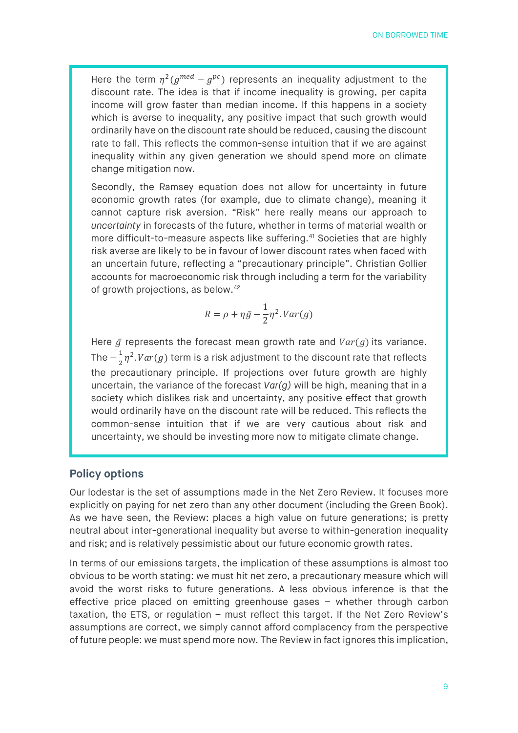Here the term  $\eta^2(g^{med}-g^{pc})$  represents an inequality adjustment to the discount rate. The idea is that if income inequality is growing, per capita income will grow faster than median income. If this happens in a society which is averse to inequality, any positive impact that such growth would ordinarily have on the discount rate should be reduced, causing the discount rate to fall. This reflects the common-sense intuition that if we are against inequality within any given generation we should spend more on climate change mitigation now.

Secondly, the Ramsey equation does not allow for uncertainty in future economic growth rates (for example, due to climate change), meaning it cannot capture risk aversion. "Risk" here really means our approach to *uncertainty* in forecasts of the future, whether in terms of material wealth or more difficult-to-measure aspects like suffering. [41](#page-20-22) Societies that are highly risk averse are likely to be in favour of lower discount rates when faced with an uncertain future, reflecting a "precautionary principle". Christian Gollier accounts for macroeconomic risk through including a term for the variability of growth projections, as below.[42](#page-20-23)

$$
R = \rho + \eta \bar{g} - \frac{1}{2} \eta^2. Var(g)
$$

Here  $\bar{g}$  represents the forecast mean growth rate and  $Var(g)$  its variance. The  $-\frac{1}{2}\eta^2$ .  $Var(g)$  term is a risk adjustment to the discount rate that reflects the precautionary principle. If projections over future growth are highly uncertain, the variance of the forecast *Var(g)* will be high, meaning that in a society which dislikes risk and uncertainty, any positive effect that growth would ordinarily have on the discount rate will be reduced. This reflects the common-sense intuition that if we are very cautious about risk and uncertainty, we should be investing more now to mitigate climate change.

# **Policy options**

Our lodestar is the set of assumptions made in the Net Zero Review. It focuses more explicitly on paying for net zero than any other document (including the Green Book). As we have seen, the Review: places a high value on future generations; is pretty neutral about inter-generational inequality but averse to within-generation inequality and risk; and is relatively pessimistic about our future economic growth rates.

In terms of our emissions targets, the implication of these assumptions is almost too obvious to be worth stating: we must hit net zero, a precautionary measure which will avoid the worst risks to future generations. A less obvious inference is that the effective price placed on emitting greenhouse gases – whether through carbon taxation, the ETS, or regulation – must reflect this target. If the Net Zero Review's assumptions are correct, we simply cannot afford complacency from the perspective of future people: we must spend more now*.* The Review in fact ignores this implication,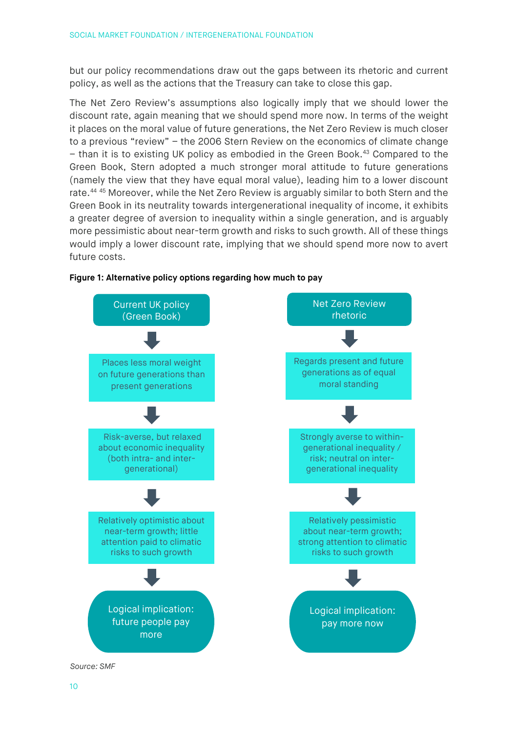but our policy recommendations draw out the gaps between its rhetoric and current policy, as well as the actions that the Treasury can take to close this gap.

The Net Zero Review's assumptions also logically imply that we should lower the discount rate, again meaning that we should spend more now. In terms of the weight it places on the moral value of future generations, the Net Zero Review is much closer to a previous "review" – the 2006 Stern Review on the economics of climate change – than it is to existing UK policy as embodied in the Green Book.[43](#page-20-24) Compared to the Green Book, Stern adopted a much stronger moral attitude to future generations (namely the view that they have equal moral value), leading him to a lower discount rate.<sup>[44](#page-20-25) [45](#page-20-26)</sup> Moreover, while the Net Zero Review is arguably similar to both Stern and the Green Book in its neutrality towards intergenerational inequality of income, it exhibits a greater degree of aversion to inequality within a single generation, and is arguably more pessimistic about near-term growth and risks to such growth. All of these things would imply a lower discount rate, implying that we should spend more now to avert future costs.



#### **Figure 1: Alternative policy options regarding how much to pay**

*Source: SMF*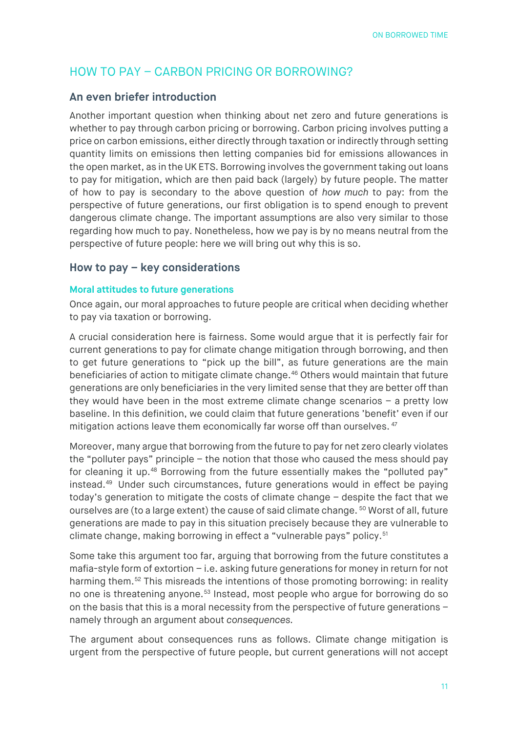# HOW TO PAY – CARBON PRICING OR BORROWING?

# **An even briefer introduction**

Another important question when thinking about net zero and future generations is whether to pay through carbon pricing or borrowing. Carbon pricing involves putting a price on carbon emissions, either directly through taxation or indirectly through setting quantity limits on emissions then letting companies bid for emissions allowances in the open market, as in the UK ETS. Borrowing involves the government taking out loans to pay for mitigation, which are then paid back (largely) by future people. The matter of how to pay is secondary to the above question of *how much* to pay: from the perspective of future generations, our first obligation is to spend enough to prevent dangerous climate change. The important assumptions are also very similar to those regarding how much to pay. Nonetheless, how we pay is by no means neutral from the perspective of future people: here we will bring out why this is so.

# **How to pay – key considerations**

#### **Moral attitudes to future generations**

Once again, our moral approaches to future people are critical when deciding whether to pay via taxation or borrowing.

A crucial consideration here is fairness. Some would argue that it is perfectly fair for current generations to pay for climate change mitigation through borrowing, and then to get future generations to "pick up the bill", as future generations are the main beneficiaries of action to mitigate climate change.<sup>[46](#page-21-0)</sup> Others would maintain that future generations are only beneficiaries in the very limited sense that they are better off than they would have been in the most extreme climate change scenarios – a pretty low baseline. In this definition, we could claim that future generations 'benefit' even if our mitigation actions leave them economically far worse off than ourselves. [47](#page-21-1)

Moreover, many argue that borrowing from the future to pay for net zero clearly violates the "polluter pays" principle – the notion that those who caused the mess should pay for cleaning it up.[48](#page-21-2) Borrowing from the future essentially makes the "polluted pay" instead.[49](#page-21-3) Under such circumstances, future generations would in effect be paying today's generation to mitigate the costs of climate change – despite the fact that we ourselves are (to a large extent) the cause of said climate change. <sup>[50](#page-21-4)</sup> Worst of all, future generations are made to pay in this situation precisely because they are vulnerable to climate change, making borrowing in effect a "vulnerable pays" policy.[51](#page-21-5)

Some take this argument too far, arguing that borrowing from the future constitutes a mafia-style form of extortion – i.e. asking future generations for money in return for not harming them.<sup>[52](#page-21-6)</sup> This misreads the intentions of those promoting borrowing: in reality no one is threatening anyone.<sup>[53](#page-21-7)</sup> Instead, most people who argue for borrowing do so on the basis that this is a moral necessity from the perspective of future generations – namely through an argument about *consequences.*

The argument about consequences runs as follows. Climate change mitigation is urgent from the perspective of future people, but current generations will not accept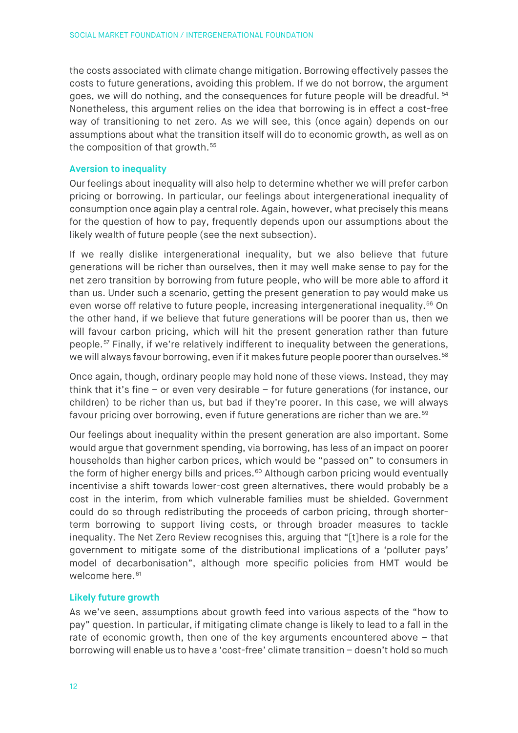the costs associated with climate change mitigation. Borrowing effectively passes the costs to future generations, avoiding this problem. If we do not borrow, the argument goes, we will do nothing, and the consequences for future people will be dreadful. [54](#page-21-8) Nonetheless, this argument relies on the idea that borrowing is in effect a cost-free way of transitioning to net zero. As we will see, this (once again) depends on our assumptions about what the transition itself will do to economic growth, as well as on the composition of that growth.<sup>[55](#page-21-9)</sup>

### **Aversion to inequality**

Our feelings about inequality will also help to determine whether we will prefer carbon pricing or borrowing. In particular, our feelings about intergenerational inequality of consumption once again play a central role. Again, however, what precisely this means for the question of how to pay, frequently depends upon our assumptions about the likely wealth of future people (see the next subsection).

If we really dislike intergenerational inequality, but we also believe that future generations will be richer than ourselves, then it may well make sense to pay for the net zero transition by borrowing from future people, who will be more able to afford it than us. Under such a scenario, getting the present generation to pay would make us even worse off relative to future people, increasing intergenerational inequality.<sup>[56](#page-21-10)</sup> On the other hand, if we believe that future generations will be poorer than us, then we will favour carbon pricing, which will hit the present generation rather than future people.[57](#page-21-11) Finally, if we're relatively indifferent to inequality between the generations, we will always favour borrowing, even if it makes future people poorer than ourselves.<sup>[58](#page-21-12)</sup>

Once again, though, ordinary people may hold none of these views. Instead, they may think that it's fine – or even very desirable – for future generations (for instance, our children) to be richer than us, but bad if they're poorer. In this case, we will always favour pricing over borrowing, even if future generations are richer than we are. [59](#page-21-13)

Our feelings about inequality within the present generation are also important. Some would argue that government spending, via borrowing, has less of an impact on poorer households than higher carbon prices, which would be "passed on" to consumers in the form of higher energy bills and prices. [60](#page-21-14) Although carbon pricing would eventually incentivise a shift towards lower-cost green alternatives, there would probably be a cost in the interim, from which vulnerable families must be shielded. Government could do so through redistributing the proceeds of carbon pricing, through shorterterm borrowing to support living costs, or through broader measures to tackle inequality. The Net Zero Review recognises this, arguing that "[t]here is a role for the government to mitigate some of the distributional implications of a 'polluter pays' model of decarbonisation", although more specific policies from HMT would be welcome here.<sup>[61](#page-21-15)</sup>

# **Likely future growth**

As we've seen, assumptions about growth feed into various aspects of the "how to pay" question. In particular, if mitigating climate change is likely to lead to a fall in the rate of economic growth, then one of the key arguments encountered above – that borrowing will enable us to have a 'cost-free' climate transition – doesn't hold so much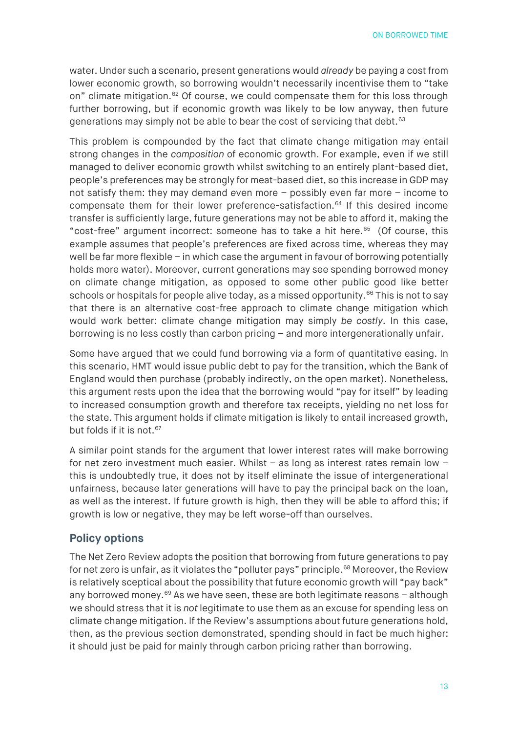water. Under such a scenario, present generations would *already* be paying a cost from lower economic growth, so borrowing wouldn't necessarily incentivise them to "take on" climate mitigation.<sup>[62](#page-21-16)</sup> Of course, we could compensate them for this loss through further borrowing, but if economic growth was likely to be low anyway, then future generations may simply not be able to bear the cost of servicing that debt. [63](#page-21-17)

This problem is compounded by the fact that climate change mitigation may entail strong changes in the *composition* of economic growth. For example, even if we still managed to deliver economic growth whilst switching to an entirely plant-based diet, people's preferences may be strongly for meat-based diet, so this increase in GDP may not satisfy them: they may demand *e*ven more – possibly even far more *–* income to compensate them for their lower preference-satisfaction. [64](#page-21-18) If this desired income transfer is sufficiently large, future generations may not be able to afford it, making the "cost-free" argument incorrect: someone has to take a hit here. [65](#page-21-19) (Of course, this example assumes that people's preferences are fixed across time, whereas they may well be far more flexible – in which case the argument in favour of borrowing potentially holds more water). Moreover, current generations may see spending borrowed money on climate change mitigation, as opposed to some other public good like better schools or hospitals for people alive today, as a missed opportunity.<sup>[66](#page-21-20)</sup> This is not to say that there is an alternative cost-free approach to climate change mitigation which would work better: climate change mitigation may simply *be costly*. In this case, borrowing is no less costly than carbon pricing – and more intergenerationally unfair.

Some have argued that we could fund borrowing via a form of quantitative easing. In this scenario, HMT would issue public debt to pay for the transition, which the Bank of England would then purchase (probably indirectly, on the open market). Nonetheless, this argument rests upon the idea that the borrowing would "pay for itself" by leading to increased consumption growth and therefore tax receipts, yielding no net loss for the state. This argument holds if climate mitigation is likely to entail increased growth, but folds if it is not.<sup>[67](#page-21-21)</sup>

A similar point stands for the argument that lower interest rates will make borrowing for net zero investment much easier. Whilst – as long as interest rates remain low – this is undoubtedly true, it does not by itself eliminate the issue of intergenerational unfairness, because later generations will have to pay the principal back on the loan, as well as the interest. If future growth is high, then they will be able to afford this; if growth is low or negative, they may be left worse-off than ourselves.

# **Policy options**

The Net Zero Review adopts the position that borrowing from future generations to pay for net zero is unfair, as it violates the "polluter pays" principle.<sup>[68](#page-21-22)</sup> Moreover, the Review is relatively sceptical about the possibility that future economic growth will "pay back" any borrowed money.<sup>[69](#page-21-23)</sup> As we have seen, these are both legitimate reasons  $-$  although we should stress that it is *not* legitimate to use them as an excuse for spending less on climate change mitigation. If the Review's assumptions about future generations hold, then, as the previous section demonstrated, spending should in fact be much higher: it should just be paid for mainly through carbon pricing rather than borrowing.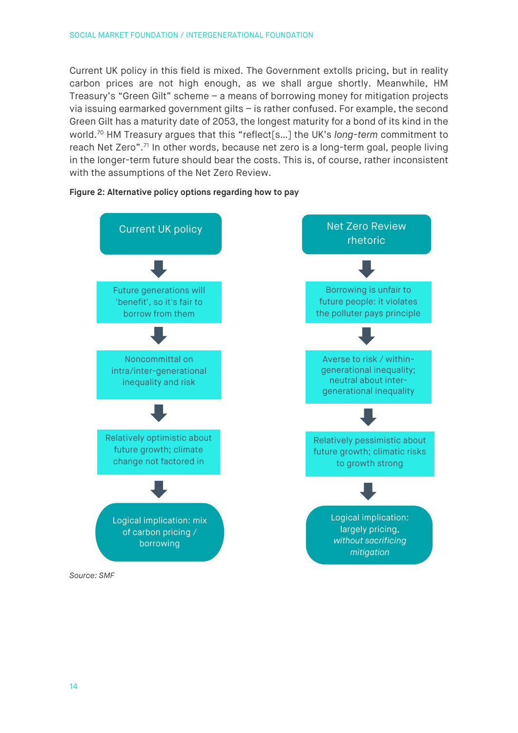Current UK policy in this field is mixed. The Government extolls pricing, but in reality carbon prices are not high enough, as we shall argue shortly. Meanwhile, HM Treasury's "Green Gilt" scheme – a means of borrowing money for mitigation projects via issuing earmarked government gilts – is rather confused. For example, the second Green Gilt has a maturity date of 2053, the longest maturity for a bond of its kind in the world.[70](#page-21-24) HM Treasury argues that this "reflect[s…] the UK's *long-term* commitment to reach Net Zero".<sup>[71](#page-21-25)</sup> In other words, because net zero is a long-term goal, people living in the longer-term future should bear the costs. This is, of course, rather inconsistent with the assumptions of the Net Zero Review.



#### **Figure 2: Alternative policy options regarding how to pay**

*Source: SMF*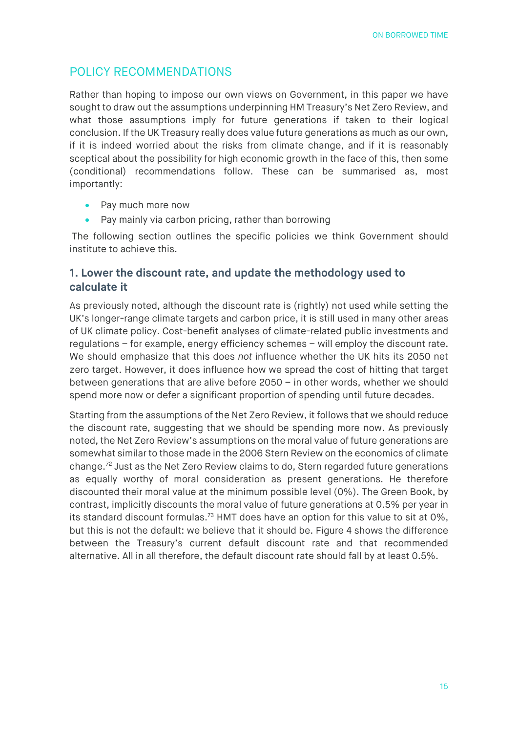# POLICY RECOMMENDATIONS

Rather than hoping to impose our own views on Government, in this paper we have sought to draw out the assumptions underpinning HM Treasury's Net Zero Review, and what those assumptions imply for future generations if taken to their logical conclusion. If the UK Treasury really does value future generations as much as our own, if it is indeed worried about the risks from climate change, and if it is reasonably sceptical about the possibility for high economic growth in the face of this, then some (conditional) recommendations follow. These can be summarised as, most importantly:

- Pay much more now
- Pay mainly via carbon pricing, rather than borrowing

The following section outlines the specific policies we think Government should institute to achieve this.

# **1. Lower the discount rate, and update the methodology used to calculate it**

As previously noted, although the discount rate is (rightly) not used while setting the UK's longer-range climate targets and carbon price, it is still used in many other areas of UK climate policy. Cost-benefit analyses of climate-related public investments and regulations – for example, energy efficiency schemes – will employ the discount rate. We should emphasize that this does *not* influence whether the UK hits its 2050 net zero target. However, it does influence how we spread the cost of hitting that target between generations that are alive before 2050 – in other words, whether we should spend more now or defer a significant proportion of spending until future decades.

Starting from the assumptions of the Net Zero Review, it follows that we should reduce the discount rate, suggesting that we should be spending more now. As previously noted, the Net Zero Review's assumptions on the moral value of future generations are somewhat similar to those made in the 2006 Stern Review on the economics of climate change.[72](#page-21-26) Just as the Net Zero Review claims to do, Stern regarded future generations as equally worthy of moral consideration as present generations. He therefore discounted their moral value at the minimum possible level (0%). The Green Book, by contrast, implicitly discounts the moral value of future generations at 0.5% per year in its standard discount formulas.<sup>[73](#page-21-27)</sup> HMT does have an option for this value to sit at 0%, but this is not the default: we believe that it should be. Figure 4 shows the difference between the Treasury's current default discount rate and that recommended alternative. All in all therefore, the default discount rate should fall by at least 0.5%.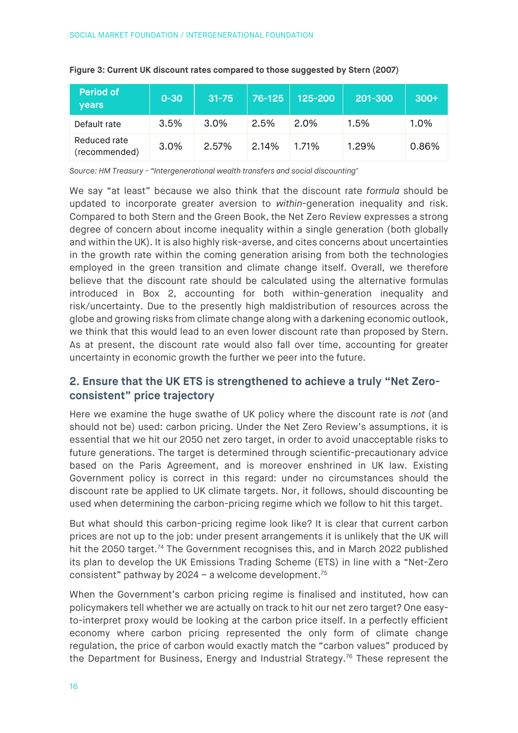| <b>Period of</b><br>vears     | $0 - 30$ | $31 - 75$ | 76-125 | 125-200 | 201-300 | $300+$ |
|-------------------------------|----------|-----------|--------|---------|---------|--------|
| Default rate                  | 3.5%     | $3.0\%$   | 2.5%   | 2.0%    | 1.5%    | 1.0%   |
| Reduced rate<br>(recommended) | 3.0%     | 2.57%     | 2.14%  | 1.71%   | 1.29%   | 0.86%  |

#### **Figure 3: Current UK discount rates compared to those suggested by Stern (2007)**

*Source: HM Treasury - "Intergenerational wealth transfers and social discounting"*

We say "at least" because we also think that the discount rate *formula* should be updated to incorporate greater aversion to *within*-generation inequality and risk. Compared to both Stern and the Green Book, the Net Zero Review expresses a strong degree of concern about income inequality within a single generation (both globally and within the UK). It is also highly risk-averse, and cites concerns about uncertainties in the growth rate within the coming generation arising from both the technologies employed in the green transition and climate change itself. Overall, we therefore believe that the discount rate should be calculated using the alternative formulas introduced in Box 2, accounting for both within-generation inequality and risk/uncertainty. Due to the presently high maldistribution of resources across the globe and growing risks from climate change along with a darkening economic outlook, we think that this would lead to an even lower discount rate than proposed by Stern. As at present, the discount rate would also fall over time, accounting for greater uncertainty in economic growth the further we peer into the future.

# **2. Ensure that the UK ETS is strengthened to achieve a truly "Net Zeroconsistent" price trajectory**

Here we examine the huge swathe of UK policy where the discount rate is *not* (and should not be) used: carbon pricing. Under the Net Zero Review's assumptions, it is essential that we hit our 2050 net zero target, in order to avoid unacceptable risks to future generations. The target is determined through scientific-precautionary advice based on the Paris Agreement, and is moreover enshrined in UK law. Existing Government policy is correct in this regard: under no circumstances should the discount rate be applied to UK climate targets. Nor, it follows, should discounting be used when determining the carbon-pricing regime which we follow to hit this target.

But what should this carbon-pricing regime look like? It is clear that current carbon prices are not up to the job: under present arrangements it is unlikely that the UK will hit the 2050 target.<sup>[74](#page-21-28)</sup> The Government recognises this, and in March 2022 published its plan to develop the UK Emissions Trading Scheme (ETS) in line with a "Net-Zero consistent" pathway by  $2024 - a$  welcome development.<sup>[75](#page-22-0)</sup>

When the Government's carbon pricing regime is finalised and instituted, how can policymakers tell whether we are actually on track to hit our net zero target? One easyto-interpret proxy would be looking at the carbon price itself. In a perfectly efficient economy where carbon pricing represented the only form of climate change regulation, the price of carbon would exactly match the "carbon values" produced by the Department for Business, Energy and Industrial Strategy.<sup>[76](#page-22-1)</sup> These represent the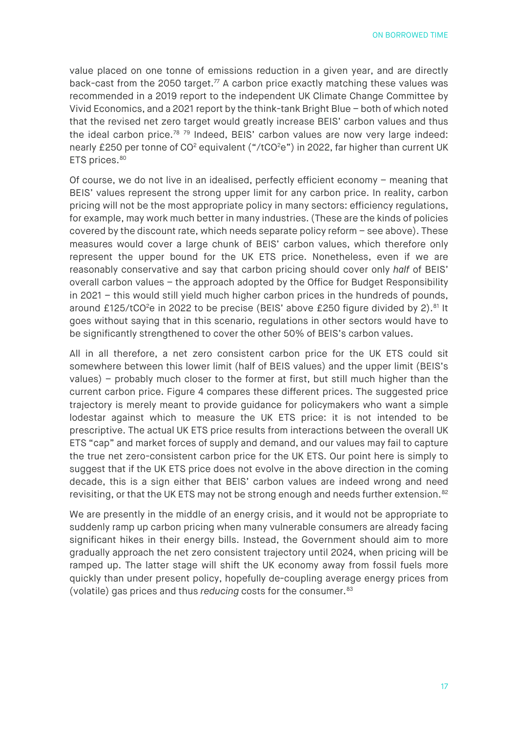value placed on one tonne of emissions reduction in a given year, and are directly back-cast from the 2050 target. $77$  A carbon price exactly matching these values was recommended in a 2019 report to the independent UK Climate Change Committee by Vivid Economics, and a 2021 report by the think-tank Bright Blue – both of which noted that the revised net zero target would greatly increase BEIS' carbon values and thus the ideal carbon price.<sup>[78](#page-22-3)</sup> <sup>[79](#page-22-4)</sup> Indeed, BEIS' carbon values are now very large indeed: nearly £250 per tonne of CO<sup>2</sup> equivalent ("/tCO<sup>2</sup>e") in 2022, far higher than current UK ETS prices.<sup>[80](#page-22-5)</sup>

Of course, we do not live in an idealised, perfectly efficient economy – meaning that BEIS' values represent the strong upper limit for any carbon price. In reality, carbon pricing will not be the most appropriate policy in many sectors: efficiency regulations, for example, may work much better in many industries. (These are the kinds of policies covered by the discount rate, which needs separate policy reform – see above). These measures would cover a large chunk of BEIS' carbon values, which therefore only represent the upper bound for the UK ETS price. Nonetheless, even if we are reasonably conservative and say that carbon pricing should cover only *half* of BEIS' overall carbon values – the approach adopted by the Office for Budget Responsibility in 2021 – this would still yield much higher carbon prices in the hundreds of pounds, around £125/tCO<sup>2</sup>e in 2022 to be precise (BEIS' above £250 figure divided by 2).<sup>[81](#page-22-6)</sup> It goes without saying that in this scenario, regulations in other sectors would have to be significantly strengthened to cover the other 50% of BEIS's carbon values.

All in all therefore, a net zero consistent carbon price for the UK ETS could sit somewhere between this lower limit (half of BEIS values) and the upper limit (BEIS's values) – probably much closer to the former at first, but still much higher than the current carbon price. Figure 4 compares these different prices. The suggested price trajectory is merely meant to provide guidance for policymakers who want a simple lodestar against which to measure the UK ETS price: it is not intended to be prescriptive. The actual UK ETS price results from interactions between the overall UK ETS "cap" and market forces of supply and demand, and our values may fail to capture the true net zero-consistent carbon price for the UK ETS. Our point here is simply to suggest that if the UK ETS price does not evolve in the above direction in the coming decade, this is a sign either that BEIS' carbon values are indeed wrong and need revisiting, or that the UK ETS may not be strong enough and needs further extension.<sup>[82](#page-22-7)</sup>

We are presently in the middle of an energy crisis, and it would not be appropriate to suddenly ramp up carbon pricing when many vulnerable consumers are already facing significant hikes in their energy bills. Instead, the Government should aim to more gradually approach the net zero consistent trajectory until 2024, when pricing will be ramped up. The latter stage will shift the UK economy away from fossil fuels more quickly than under present policy, hopefully de-coupling average energy prices from (volatile) gas prices and thus *reducing* costs for the consumer.[83](#page-22-8)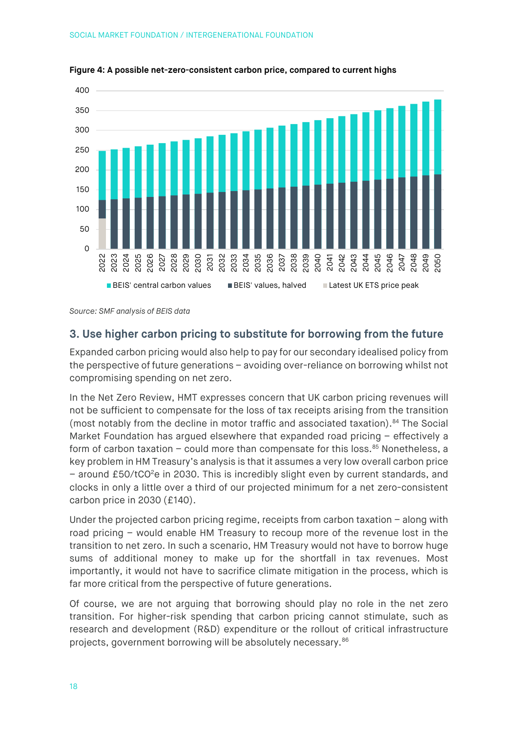

**Figure 4: A possible net-zero-consistent carbon price, compared to current highs**

*Source: SMF analysis of BEIS data*

### **3. Use higher carbon pricing to substitute for borrowing from the future**

Expanded carbon pricing would also help to pay for our secondary idealised policy from the perspective of future generations – avoiding over-reliance on borrowing whilst not compromising spending on net zero.

In the Net Zero Review, HMT expresses concern that UK carbon pricing revenues will not be sufficient to compensate for the loss of tax receipts arising from the transition (most notably from the decline in motor traffic and associated taxation).<sup>[84](#page-22-9)</sup> The Social Market Foundation has argued elsewhere that expanded road pricing – effectively a form of carbon taxation  $-$  could more than compensate for this loss. $85$  Nonetheless, a key problem in HM Treasury's analysis is that it assumes a very low overall carbon price - around £50/tCO<sup>2</sup>e in 2030. This is incredibly slight even by current standards, and clocks in only a little over a third of our projected minimum for a net zero-consistent carbon price in 2030 (£140).

Under the projected carbon pricing regime, receipts from carbon taxation – along with road pricing – would enable HM Treasury to recoup more of the revenue lost in the transition to net zero. In such a scenario, HM Treasury would not have to borrow huge sums of additional money to make up for the shortfall in tax revenues. Most importantly, it would not have to sacrifice climate mitigation in the process, which is far more critical from the perspective of future generations.

Of course, we are not arguing that borrowing should play no role in the net zero transition. For higher-risk spending that carbon pricing cannot stimulate, such as research and development (R&D) expenditure or the rollout of critical infrastructure projects, government borrowing will be absolutely necessary.<sup>[86](#page-22-11)</sup>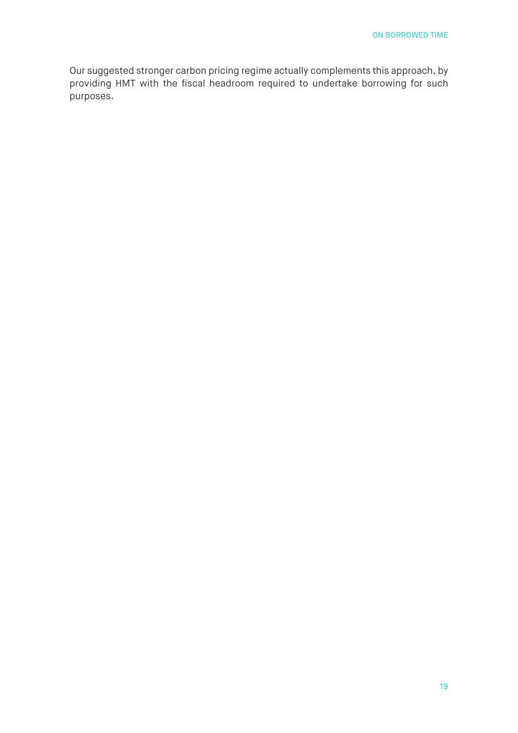Our suggested stronger carbon pricing regime actually complements this approach, by providing HMT with the fiscal headroom required to undertake borrowing for such purposes.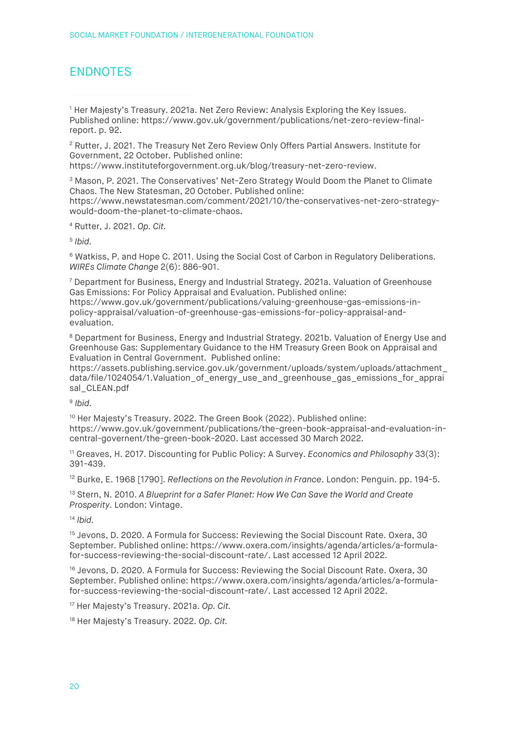# ENDNOTES

<span id="page-19-0"></span><sup>1</sup> Her Majesty's Treasury. 2021a. Net Zero Review: Analysis Exploring the Key Issues. Published online: [https://www.gov.uk/government/publications/net-zero-review-final](https://www.gov.uk/government/publications/net-zero-review-final-report)[report.](https://www.gov.uk/government/publications/net-zero-review-final-report) p. 92.

<span id="page-19-1"></span><sup>2</sup> Rutter, J. 2021. The Treasury Net Zero Review Only Offers Partial Answers. Institute for Government, 22 October. Published online:

[https://www.instituteforgovernment.org.uk/blog/treasury-net-zero-review.](https://www.instituteforgovernment.org.uk/blog/treasury-net-zero-review)

<span id="page-19-2"></span><sup>3</sup> Mason, P. 2021. The Conservatives' Net-Zero Strategy Would Doom the Planet to Climate Chaos. The New Statesman, 20 October. Published online:

[https://www.newstatesman.com/comment/2021/10/the-conservatives-net-zero-strategy](https://www.newstatesman.com/comment/2021/10/the-conservatives-net-zero-strategy-would-doom-the-planet-to-climate-chaos)[would-doom-the-planet-to-climate-chaos.](https://www.newstatesman.com/comment/2021/10/the-conservatives-net-zero-strategy-would-doom-the-planet-to-climate-chaos)

<span id="page-19-3"></span><sup>4</sup> Rutter, J. 2021. *Op. Cit.*

<span id="page-19-4"></span><sup>5</sup> *Ibid.*

<span id="page-19-5"></span><sup>6</sup> Watkiss, P. and Hope C. 2011. Using the Social Cost of Carbon in Regulatory Deliberations. *WIREs Climate Change* 2(6): 886-901.

<span id="page-19-6"></span><sup>7</sup> Department for Business, Energy and Industrial Strategy. 2021a. Valuation of Greenhouse Gas Emissions: For Policy Appraisal and Evaluation. Published online: [https://www.gov.uk/government/publications/valuing-greenhouse-gas-emissions-in-](https://www.gov.uk/government/publications/valuing-greenhouse-gas-emissions-in-policy-appraisal/valuation-of-greenhouse-gas-emissions-for-policy-appraisal-and-evaluation)

[policy-appraisal/valuation-of-greenhouse-gas-emissions-for-policy-appraisal-and](https://www.gov.uk/government/publications/valuing-greenhouse-gas-emissions-in-policy-appraisal/valuation-of-greenhouse-gas-emissions-for-policy-appraisal-and-evaluation)[evaluation.](https://www.gov.uk/government/publications/valuing-greenhouse-gas-emissions-in-policy-appraisal/valuation-of-greenhouse-gas-emissions-for-policy-appraisal-and-evaluation)

<span id="page-19-7"></span><sup>8</sup> Department for Business, Energy and Industrial Strategy. 2021b. Valuation of Energy Use and Greenhouse Gas: Supplementary Guidance to the HM Treasury Green Book on Appraisal and Evaluation in Central Government. Published online:

[https://assets.publishing.service.gov.uk/government/uploads/system/uploads/attachment\\_](https://assets.publishing.service.gov.uk/government/uploads/system/uploads/attachment_data/file/1024054/1.Valuation_of_energy_use_and_greenhouse_gas_emissions_for_appraisal_CLEAN.pdf) data/file/1024054/1.Valuation of energy use and greenhouse gas emissions for apprai [sal\\_CLEAN.pdf](https://assets.publishing.service.gov.uk/government/uploads/system/uploads/attachment_data/file/1024054/1.Valuation_of_energy_use_and_greenhouse_gas_emissions_for_appraisal_CLEAN.pdf)

<span id="page-19-8"></span><sup>9</sup> *Ibid.* 

<span id="page-19-9"></span><sup>10</sup> Her Majesty's Treasury. 2022. The Green Book (2022). Published online: [https://www.gov.uk/government/publications/the-green-book-appraisal-and-evaluation-in](https://www.gov.uk/government/publications/the-green-book-appraisal-and-evaluation-in-central-governent/the-green-book-2020)[central-governent/the-green-book-2020.](https://www.gov.uk/government/publications/the-green-book-appraisal-and-evaluation-in-central-governent/the-green-book-2020) Last accessed 30 March 2022.

<span id="page-19-10"></span><sup>11</sup> Greaves, H. 2017. Discounting for Public Policy: A Survey. *Economics and Philosophy* 33(3): 391-439.

<span id="page-19-11"></span><sup>12</sup> Burke, E. 1968 [1790]. *Reflections on the Revolution in France*. London: Penguin. pp. 194-5.

<span id="page-19-12"></span><sup>13</sup> Stern, N. 2010. *A Blueprint for a Safer Planet: How We Can Save the World and Create Prosperity.* London: Vintage.

<span id="page-19-13"></span><sup>14</sup> *Ibid.* 

<span id="page-19-14"></span><sup>15</sup> Jevons, D. 2020. A Formula for Success: Reviewing the Social Discount Rate. Oxera, 30 September. Published online: [https://www.oxera.com/insights/agenda/articles/a-formula](https://www.oxera.com/insights/agenda/articles/a-formula-for-success-reviewing-the-social-discount-rate/)[for-success-reviewing-the-social-discount-rate/.](https://www.oxera.com/insights/agenda/articles/a-formula-for-success-reviewing-the-social-discount-rate/) Last accessed 12 April 2022.

<span id="page-19-15"></span><sup>16</sup> Jevons, D. 2020. A Formula for Success: Reviewing the Social Discount Rate. Oxera, 30 September. Published online: [https://www.oxera.com/insights/agenda/articles/a-formula](https://www.oxera.com/insights/agenda/articles/a-formula-for-success-reviewing-the-social-discount-rate/)[for-success-reviewing-the-social-discount-rate/.](https://www.oxera.com/insights/agenda/articles/a-formula-for-success-reviewing-the-social-discount-rate/) Last accessed 12 April 2022.

<span id="page-19-16"></span><sup>17</sup> Her Majesty's Treasury. 2021a. *Op. Cit.* 

<span id="page-19-17"></span><sup>18</sup> Her Majesty's Treasury. 2022. *Op. Cit.*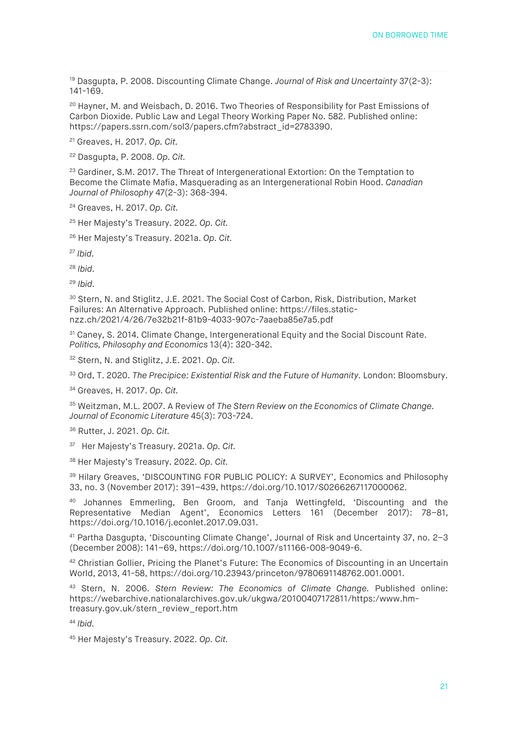<span id="page-20-0"></span><sup>19</sup> Dasgupta, P. 2008. Discounting Climate Change. *Journal of Risk and Uncertainty* 37(2-3): 141-169.

<span id="page-20-1"></span><sup>20</sup> Hayner, M. and Weisbach, D. 2016. Two Theories of Responsibility for Past Emissions of Carbon Dioxide. Public Law and Legal Theory Working Paper No. 582. Published online: [https://papers.ssrn.com/sol3/papers.cfm?abstract\\_id=2783390.](https://papers.ssrn.com/sol3/papers.cfm?abstract_id=2783390)

<span id="page-20-2"></span><sup>21</sup> Greaves, H. 2017. *Op. Cit.*

<span id="page-20-3"></span><sup>22</sup> Dasgupta, P. 2008. *Op. Cit.* 

<span id="page-20-4"></span><sup>23</sup> Gardiner, S.M. 2017. The Threat of Intergenerational Extortion: On the Temptation to Become the Climate Mafia, Masquerading as an Intergenerational Robin Hood. *Canadian Journal of Philosophy* 47(2-3): 368-394.

<span id="page-20-5"></span><sup>24</sup> Greaves, H. 2017. *Op. Cit.*

<span id="page-20-6"></span><sup>25</sup> Her Majesty's Treasury. 2022. *Op. Cit.*

<span id="page-20-7"></span><sup>26</sup> Her Majesty's Treasury. 2021a. *Op. Cit.*

<span id="page-20-8"></span><sup>27</sup> *Ibid.*

<span id="page-20-9"></span><sup>28</sup> *Ibid.*

<span id="page-20-10"></span><sup>29</sup> *Ibid.*

<span id="page-20-11"></span><sup>30</sup> Stern, N. and Stiglitz, J.E. 2021. The Social Cost of Carbon, Risk, Distribution, Market Failures: An Alternative Approach. Published online: [https://files.static](https://files.static-nzz.ch/2021/4/26/7e32b21f-81b9-4033-907c-7aaeba85e7a5.pdf)[nzz.ch/2021/4/26/7e32b21f-81b9-4033-907c-7aaeba85e7a5.pdf](https://files.static-nzz.ch/2021/4/26/7e32b21f-81b9-4033-907c-7aaeba85e7a5.pdf)

<span id="page-20-12"></span><sup>31</sup> Caney, S. 2014. Climate Change, Intergenerational Equity and the Social Discount Rate. *Politics, Philosophy and Economics* 13(4): 320-342.

<span id="page-20-13"></span><sup>32</sup> Stern, N. and Stiglitz, J.E. 2021. *Op. Cit.*

<span id="page-20-14"></span><sup>33</sup> Ord, T. 2020. *The Precipice: Existential Risk and the Future of Humanity.* London: Bloomsbury.

<span id="page-20-15"></span><sup>34</sup> Greaves, H. 2017. *Op. Cit.* 

<span id="page-20-16"></span><sup>35</sup> Weitzman, M.L. 2007. A Review of *The Stern Review on the Economics of Climate Change. Journal of Economic Literature* 45(3): 703-724.

<span id="page-20-17"></span><sup>36</sup> Rutter, J. 2021. *Op. Cit.* 

<span id="page-20-18"></span>37 Her Majesty's Treasury. 2021a. *Op. Cit.* 

<span id="page-20-19"></span><sup>38</sup> Her Majesty's Treasury. 2022. *Op. Cit.*

<span id="page-20-20"></span><sup>39</sup> Hilary Greaves, 'DISCOUNTING FOR PUBLIC POLICY: A SURVEY', Economics and Philosophy 33, no. 3 (November 2017): 391–439, https://doi.org/10.1017/S0266267117000062.

<span id="page-20-21"></span><sup>40</sup> Johannes Emmerling, Ben Groom, and Tanja Wettingfeld, 'Discounting and the Representative Median Agent', Economics Letters 161 (December 2017): 78–81, https://doi.org/10.1016/j.econlet.2017.09.031.

<span id="page-20-22"></span><sup>41</sup> Partha Dasgupta, 'Discounting Climate Change', Journal of Risk and Uncertainty 37, no. 2–3 (December 2008): 141–69, https://doi.org/10.1007/s11166-008-9049-6.

<span id="page-20-23"></span>42 Christian Gollier, Pricing the Planet's Future: The Economics of Discounting in an Uncertain World, 2013, 41-58, https://doi.org/10.23943/princeton/9780691148762.001.0001.

<span id="page-20-24"></span><sup>43</sup> Stern, N. 2006. *Stern Review: The Economics of Climate Change.* Published online: https://webarchive.nationalarchives.gov.uk/ukgwa/20100407172811/https:/www.hmtreasury.gov.uk/stern\_review\_report.htm

<span id="page-20-25"></span><sup>44</sup> *Ibid.* 

<span id="page-20-26"></span><sup>45</sup> Her Majesty's Treasury. 2022. *Op. Cit.*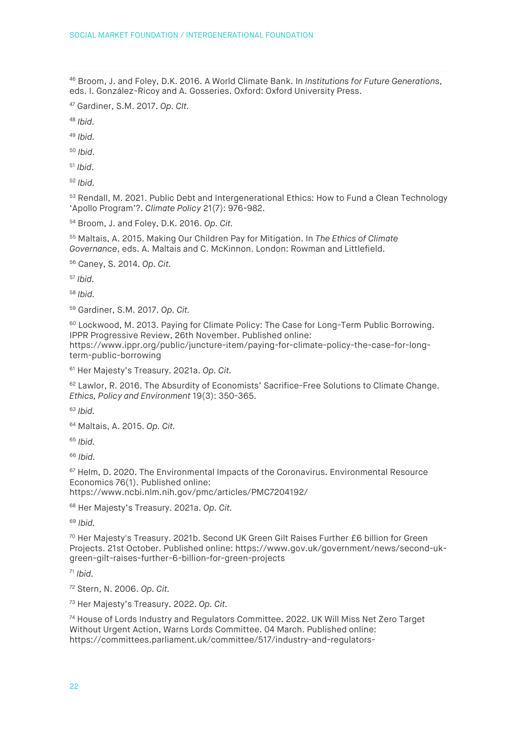<span id="page-21-0"></span> Broom, J. and Foley, D.K. 2016. A World Climate Bank. In *Institutions for Future Generations*, eds. I. González-Ricoy and A. Gosseries. Oxford: Oxford University Press.

<span id="page-21-1"></span>Gardiner, S.M. 2017. *Op. CIt.*

<span id="page-21-2"></span>*Ibid.* 

<span id="page-21-3"></span>*Ibid.* 

<span id="page-21-4"></span>*Ibid.* 

<span id="page-21-5"></span>*Ibid.* 

<span id="page-21-6"></span>*Ibid.* 

<span id="page-21-7"></span><sup>53</sup> Rendall, M. 2021. Public Debt and Intergenerational Ethics: How to Fund a Clean Technology 'Apollo Program'?. *Climate Policy* 21(7): 976-982.

<span id="page-21-8"></span>Broom, J. and Foley, D.K. 2016. *Op. Cit.* 

<span id="page-21-9"></span> Maltais, A. 2015. Making Our Children Pay for Mitigation. In *The Ethics of Climate Governance*, eds. A. Maltais and C. McKinnon. London: Rowman and Littlefield.

<span id="page-21-10"></span>Caney, S. 2014. *Op. Cit.* 

<span id="page-21-11"></span>*Ibid.* 

<span id="page-21-12"></span>*Ibid.* 

<span id="page-21-13"></span>Gardiner, S.M. 2017. *Op. Cit.*

<span id="page-21-14"></span><sup>60</sup> Lockwood, M. 2013. Paying for Climate Policy: The Case for Long-Term Public Borrowing. IPPR Progressive Review, 26th November. Published online: [https://www.ippr.org/public/juncture-item/paying-for-climate-policy-the-case-for-long](https://www.ippr.org/public/juncture-item/paying-for-climate-policy-the-case-for-long-term-public-borrowing)[term-public-borrowing](https://www.ippr.org/public/juncture-item/paying-for-climate-policy-the-case-for-long-term-public-borrowing)

<span id="page-21-15"></span>Her Majesty's Treasury. 2021a. *Op. Cit.*

<span id="page-21-16"></span><sup>62</sup> Lawlor. R. 2016. The Absurdity of Economists' Sacrifice-Free Solutions to Climate Change. *Ethics, Policy and Environment* 19(3): 350-365.

<span id="page-21-17"></span>*Ibid.* 

<span id="page-21-18"></span>Maltais, A. 2015. *Op. Cit.* 

<span id="page-21-19"></span>*Ibid.* 

<span id="page-21-20"></span>*Ibid.* 

<span id="page-21-21"></span> Helm, D. 2020. The Environmental Impacts of the Coronavirus. Environmental Resource Economics 76(1). Published online: <https://www.ncbi.nlm.nih.gov/pmc/articles/PMC7204192/>

<span id="page-21-22"></span>Her Majesty's Treasury. 2021a. *Op. Cit.*

<span id="page-21-23"></span>*Ibid.*

<span id="page-21-24"></span> Her Majesty's Treasury. 2021b. Second UK Green Gilt Raises Further £6 billion for Green Projects. 21st October. Published online[: https://www.gov.uk/government/news/second-uk](https://www.gov.uk/government/news/second-uk-green-gilt-raises-further-6-billion-for-green-projects)[green-gilt-raises-further-6-billion-for-green-projects](https://www.gov.uk/government/news/second-uk-green-gilt-raises-further-6-billion-for-green-projects)

<span id="page-21-25"></span>*Ibid.*

<span id="page-21-26"></span>Stern, N. 2006. *Op. Cit.*

<span id="page-21-27"></span>Her Majesty's Treasury. 2022. *Op. Cit.*

<span id="page-21-28"></span> House of Lords Industry and Regulators Committee. 2022. UK Will Miss Net Zero Target Without Urgent Action, Warns Lords Committee. 04 March. Published online: [https://committees.parliament.uk/committee/517/industry-and-regulators-](https://committees.parliament.uk/committee/517/industry-and-regulators-committee/news/161468/uk-will-miss-net-zero-target-without-urgent-action-warns-lords-committee/)